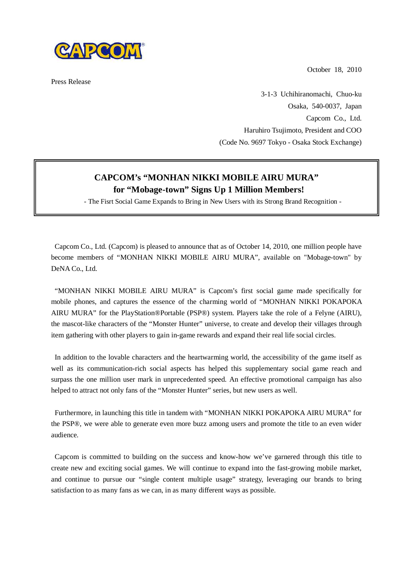

Press Release

October 18, 2010

3-1-3 Uchihiranomachi, Chuo-ku Osaka, 540-0037, Japan Capcom Co., Ltd. Haruhiro Tsujimoto, President and COO (Code No. 9697 Tokyo - Osaka Stock Exchange)

## **CAPCOM's "MONHAN NIKKI MOBILE AIRU MURA" for "Mobage-town" Signs Up 1 Million Members!**

- The Fisrt Social Game Expands to Bring in New Users with its Strong Brand Recognition -

Capcom Co., Ltd. (Capcom) is pleased to announce that as of October 14, 2010, one million people have become members of "MONHAN NIKKI MOBILE AIRU MURA", available on "Mobage-town" by DeNA Co., Ltd.

"MONHAN NIKKI MOBILE AIRU MURA" is Capcom's first social game made specifically for mobile phones, and captures the essence of the charming world of "MONHAN NIKKI POKAPOKA AIRU MURA" for the PlayStation®Portable (PSP®) system. Players take the role of a Felyne (AIRU), the mascot-like characters of the "Monster Hunter" universe, to create and develop their villages through item gathering with other players to gain in-game rewards and expand their real life social circles.

In addition to the lovable characters and the heartwarming world, the accessibility of the game itself as well as its communication-rich social aspects has helped this supplementary social game reach and surpass the one million user mark in unprecedented speed. An effective promotional campaign has also helped to attract not only fans of the "Monster Hunter" series, but new users as well.

Furthermore, in launching this title in tandem with "MONHAN NIKKI POKAPOKA AIRU MURA" for the PSP®, we were able to generate even more buzz among users and promote the title to an even wider audience.

Capcom is committed to building on the success and know-how we've garnered through this title to create new and exciting social games. We will continue to expand into the fast-growing mobile market, and continue to pursue our "single content multiple usage" strategy, leveraging our brands to bring satisfaction to as many fans as we can, in as many different ways as possible.